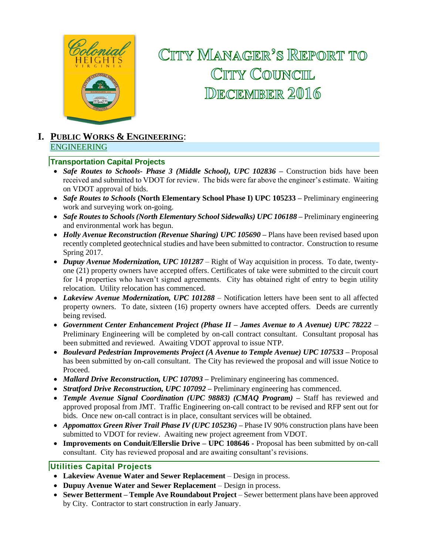

# CITTY MANAGER'S REPORT TO CITY COUNCIL DECEMBER 2016

#### **I. PUBLIC WORKS & ENGINEERING**: ENGINEERING

#### **Transportation Capital Projects**

- Safe Routes to Schools- Phase 3 (Middle School), UPC 102836 Construction bids have been received and submitted to VDOT for review. The bids were far above the engineer's estimate. Waiting on VDOT approval of bids.
- *Safe Routes to Schools* **(North Elementary School Phase I) UPC 105233 –** Preliminary engineering work and surveying work on-going.
- *Safe Routes to Schools (North Elementary School Sidewalks) UPC 106188 –* Preliminary engineering and environmental work has begun.
- *Holly Avenue Reconstruction (Revenue Sharing) UPC 105690* Plans have been revised based upon recently completed geotechnical studies and have been submitted to contractor. Construction to resume Spring 2017.
- *Dupuy Avenue Modernization, UPC 101287*  Right of Way acquisition in process. To date, twentyone (21) property owners have accepted offers. Certificates of take were submitted to the circuit court for 14 properties who haven't signed agreements. City has obtained right of entry to begin utility relocation. Utility relocation has commenced.
- *Lakeview Avenue Modernization, UPC 101288* Notification letters have been sent to all affected property owners. To date, sixteen (16) property owners have accepted offers. Deeds are currently being revised.
- *Government Center Enhancement Project (Phase II – James Avenue to A Avenue) UPC 78222 –* Preliminary Engineering will be completed by on-call contract consultant. Consultant proposal has been submitted and reviewed. Awaiting VDOT approval to issue NTP.
- *Boulevard Pedestrian Improvements Project (A Avenue to Temple Avenue) UPC 107533 –* Proposal has been submitted by on-call consultant. The City has reviewed the proposal and will issue Notice to Proceed.
- *Mallard Drive Reconstruction, UPC 107093 –* Preliminary engineering has commenced.
- *Stratford Drive Reconstruction, UPC 107092 –* Preliminary engineering has commenced.
- *Temple Avenue Signal Coordination (UPC 98883) (CMAQ Program) –* Staff has reviewed and approved proposal from JMT. Traffic Engineering on-call contract to be revised and RFP sent out for bids. Once new on-call contract is in place, consultant services will be obtained.
- *Appomattox Green River Trail Phase IV (UPC 105236) –* Phase IV 90% construction plans have been submitted to VDOT for review. Awaiting new project agreement from VDOT.
- **Improvements on Conduit/Ellerslie Drive – UPC 108646 -** Proposal has been submitted by on-call consultant. City has reviewed proposal and are awaiting consultant's revisions.

#### **Utilities Capital Projects**

- **Lakeview Avenue Water and Sewer Replacement**  Design in process.
- **Dupuy Avenue Water and Sewer Replacement**  Design in process.
- **Sewer Betterment – Temple Ave Roundabout Project**  Sewer betterment plans have been approved by City. Contractor to start construction in early January.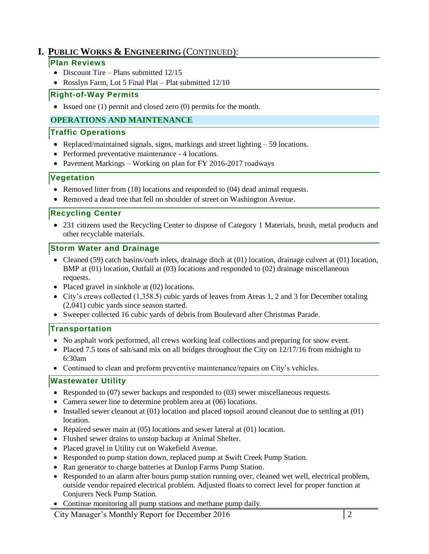# **I. PUBLIC WORKS & ENGINEERING** (CONTINUED):

#### **Plan Reviews**

- Discount Tire Plans submitted  $12/15$
- Rosslyn Farm, Lot 5 Final Plat Plat submitted 12/10

## **Right-of-Way Permits**

Issued one (1) permit and closed zero (0) permits for the month.

## **OPERATIONS AND MAINTENANCE**

#### **Traffic Operations**

- Replaced/maintained signals, signs, markings and street lighting 59 locations.
- Performed preventative maintenance 4 locations.
- Pavement Markings Working on plan for FY 2016-2017 roadways

## **Vegetation**

- Removed litter from (18) locations and responded to (04) dead animal requests.
- Removed a dead tree that fell on shoulder of street on Washington Avenue.

## **Recycling Center**

• 231 citizens used the Recycling Center to dispose of Category 1 Materials, brush, metal products and other recyclable materials.

## **Storm Water and Drainage**

- Cleaned (59) catch basins/curb inlets, drainage ditch at  $(01)$  location, drainage culvert at  $(01)$  location, BMP at (01) location, Outfall at (03) locations and responded to (02) drainage miscellaneous requests.
- Placed gravel in sinkhole at (02) locations.
- City's crews collected (1,358.5) cubic yards of leaves from Areas 1, 2 and 3 for December totaling (2,041) cubic yards since season started.
- Sweeper collected 16 cubic yards of debris from Boulevard after Christmas Parade.

## **Transportation**

- No asphalt work performed, all crews working leaf collections and preparing for snow event.
- Placed 7.5 tons of salt/sand mix on all bridges throughout the City on 12/17/16 from midnight to 6:30am
- Continued to clean and preform preventive maintenance/repairs on City's vehicles.

## **Wastewater Utility**

- Responded to (07) sewer backups and responded to (03) sewer miscellaneous requests.
- Camera sewer line to determine problem area at (06) locations.
- Installed sewer cleanout at (01) location and placed topsoil around cleanout due to settling at (01) location.
- Repaired sewer main at  $(05)$  locations and sewer lateral at  $(01)$  location.
- Flushed sewer drains to unstop backup at Animal Shelter.
- Placed gravel in Utility cut on Wakefield Avenue.
- Responded to pump station down, replaced pump at Swift Creek Pump Station.
- Ran generator to charge batteries at Dunlop Farms Pump Station.
- Responded to an alarm after hours pump station running over, cleaned wet well, electrical problem, outside vendor repaired electrical problem. Adjusted floats to correct level for proper function at Conjurers Neck Pump Station.
- Continue monitoring all pump stations and methane pump daily*.*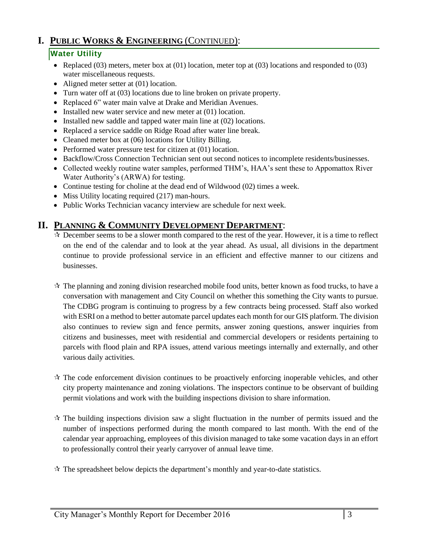# **I. PUBLIC WORKS & ENGINEERING** (CONTINUED):

### **Water Utility**

- Replaced (03) meters, meter box at (01) location, meter top at (03) locations and responded to (03) water miscellaneous requests.
- Aligned meter setter at (01) location.
- Turn water off at (03) locations due to line broken on private property.
- Replaced 6" water main valve at Drake and Meridian Avenues.
- Installed new water service and new meter at  $(01)$  location.
- Installed new saddle and tapped water main line at  $(02)$  locations.
- Replaced a service saddle on Ridge Road after water line break.
- Cleaned meter box at (06) locations for Utility Billing.
- Performed water pressure test for citizen at (01) location.
- Backflow/Cross Connection Technician sent out second notices to incomplete residents/businesses.
- Collected weekly routine water samples, performed THM's, HAA's sent these to Appomattox River Water Authority's (ARWA) for testing.
- Continue testing for choline at the dead end of Wildwood (02) times a week.
- Miss Utility locating required (217) man-hours.
- Public Works Technician vacancy interview are schedule for next week.

## **II. PLANNING & COMMUNITY DEVELOPMENT DEPARTMENT**:

- $\star$  December seems to be a slower month compared to the rest of the year. However, it is a time to reflect on the end of the calendar and to look at the year ahead. As usual, all divisions in the department continue to provide professional service in an efficient and effective manner to our citizens and businesses.
- $\mathcal{R}$  The planning and zoning division researched mobile food units, better known as food trucks, to have a conversation with management and City Council on whether this something the City wants to pursue. The CDBG program is continuing to progress by a few contracts being processed. Staff also worked with ESRI on a method to better automate parcel updates each month for our GIS platform. The division also continues to review sign and fence permits, answer zoning questions, answer inquiries from citizens and businesses, meet with residential and commercial developers or residents pertaining to parcels with flood plain and RPA issues, attend various meetings internally and externally, and other various daily activities.
- $\star$  The code enforcement division continues to be proactively enforcing inoperable vehicles, and other city property maintenance and zoning violations. The inspectors continue to be observant of building permit violations and work with the building inspections division to share information.
- $\star$  The building inspections division saw a slight fluctuation in the number of permits issued and the number of inspections performed during the month compared to last month. With the end of the calendar year approaching, employees of this division managed to take some vacation days in an effort to professionally control their yearly carryover of annual leave time.
- $\star$  The spreadsheet below depicts the department's monthly and year-to-date statistics.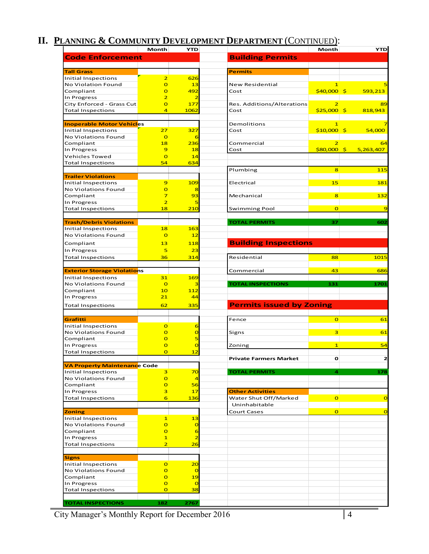# **II. PLANNING & COMMUNITY DEVELOPMENT DEPARTMENT** (CONTINUED):

|                                                            | Month                                     | <b>YTD</b>                  |                                 | Month                   | <b>YTD</b>      |
|------------------------------------------------------------|-------------------------------------------|-----------------------------|---------------------------------|-------------------------|-----------------|
| <b>Code Enforcement</b>                                    |                                           |                             | <b>Building Permits</b>         |                         |                 |
|                                                            |                                           |                             |                                 |                         |                 |
| <b>Tall Grass</b>                                          |                                           |                             | <b>Permits</b>                  |                         |                 |
| Initial Inspections                                        | $\overline{2}$                            | 626                         |                                 |                         |                 |
| No Violation Found                                         | $\overline{O}$                            | 13                          | New Residential                 | $\mathbf{1}$            |                 |
| Compliant                                                  | $\overline{O}$                            | 492                         | Cost                            | $$40,000$ \$            | 593,213         |
| In Progress                                                | $\overline{\mathbf{2}}$<br>$\overline{O}$ | 2<br>177                    | Res. Additions/Alterations      | $\overline{2}$          | 89              |
| City Enforced - Grass Cut<br><b>Total Inspections</b>      | 4                                         | 1062                        | Cost                            | $$25,000$ \$            | 818,943         |
|                                                            |                                           |                             |                                 |                         |                 |
| <b>Inoperable Motor Vehicles</b>                           |                                           |                             | Demolitions                     | $\mathbf{1}$            |                 |
| Initial Inspections                                        | 27                                        | 327                         | Cost                            | \$10,000                | \$<br>54,000    |
| No Violations Found                                        | $\overline{O}$                            | 6                           |                                 |                         |                 |
| Compliant                                                  | 18                                        | 236                         | Commercial                      | 2                       | 64              |
| In Progress                                                | $\overline{9}$                            | 18                          | Cost                            | \$80,000                | 5,263,407<br>\$ |
| Vehicles Towed                                             | $\overline{O}$                            | 14                          |                                 |                         |                 |
| <b>Total Inspections</b>                                   | 54                                        | 634                         |                                 |                         |                 |
|                                                            |                                           |                             | Plumbing                        | 8                       | 115             |
| <b>Trailer Violations</b>                                  |                                           |                             |                                 |                         |                 |
| Initial Inspections<br>No Violations Found                 | 9<br>$\overline{O}$                       | 109<br>8                    | Electrical                      | 15                      | 181             |
| Compliant                                                  | $\overline{7}$                            | 93                          | Mechanical                      | $\overline{\mathbf{8}}$ | 132             |
| In Progress                                                | $\overline{2}$                            |                             |                                 |                         |                 |
| <b>Total Inspections</b>                                   | 18                                        | 210                         | <b>Swimming Pool</b>            | $\overline{O}$          |                 |
|                                                            |                                           |                             |                                 |                         |                 |
| <b>Trash/Debris Violations</b>                             |                                           |                             | <b>TOTAL PERMITS</b>            | 37                      | 602             |
| Initial Inspections                                        | 18                                        | 163                         |                                 |                         |                 |
| No Violations Found                                        | $\overline{O}$                            | 12                          |                                 |                         |                 |
| Compliant                                                  | 13                                        | 118                         | <b>Building Inspections</b>     |                         |                 |
| In Progress                                                | 5                                         | 23                          |                                 |                         |                 |
| <b>Total Inspections</b>                                   | 36                                        | 314                         | Residential                     | 88                      | 1015            |
|                                                            |                                           |                             |                                 |                         |                 |
| <b>Exterior Storage Violations</b>                         |                                           |                             | Commercial                      | 43                      | 686             |
| Initial Inspections                                        | 31                                        | 169                         |                                 |                         |                 |
| No Violations Found                                        | $\overline{O}$                            | з                           | <b>TOTAL INSPECTIONS</b>        | 131                     | 1701            |
| Compliant                                                  | 10                                        | 112                         |                                 |                         |                 |
| In Progress                                                | 21                                        | 44                          |                                 |                         |                 |
| <b>Total Inspections</b>                                   | 62                                        | 335                         | <b>Permits issued by Zoning</b> |                         |                 |
|                                                            |                                           |                             |                                 |                         |                 |
| Grafitti                                                   |                                           |                             | Fence                           | $\overline{O}$          | 61              |
| Initial Inspections                                        | $\overline{O}$                            | 6                           |                                 |                         |                 |
| No Violations Found                                        | $\overline{O}$                            | $\overline{O}$              | Signs                           | 3                       | 61              |
| Compliant                                                  | $\overline{O}$                            | 5                           |                                 |                         |                 |
| In Progress                                                | $\overline{O}$                            | $\overline{O}$              | Zoning                          | $\overline{\mathbf{1}}$ | 54              |
| <b>Total Inspections</b>                                   | $\overline{O}$                            | 12                          |                                 |                         |                 |
|                                                            |                                           |                             | <b>Private Farmers Market</b>   | o                       | $\overline{2}$  |
| <b>VA Property Maintenance Code</b><br>Initial Inspections | 3                                         | 70                          | <b>TOTAL PERMITS</b>            | 4                       | 178             |
| No Violations Found                                        | $\overline{O}$                            | $\overline{4}$              |                                 |                         |                 |
| Compliant                                                  | $\overline{O}$                            | 56                          |                                 |                         |                 |
| In Progress                                                | 3                                         | 17                          | <b>Other Activities</b>         |                         |                 |
| <b>Total Inspections</b>                                   | 6                                         | <b>136</b>                  | Water Shut Off/Marked           | $\mathbf{o}$            | $\overline{O}$  |
|                                                            |                                           |                             | Uninhabitable                   |                         |                 |
| <b>Zoning</b>                                              |                                           |                             | <b>Court Cases</b>              | $\overline{O}$          | $\overline{O}$  |
| <b>Initial Inspections</b>                                 | $\overline{1}$                            | 13                          |                                 |                         |                 |
| No Violations Found                                        | $\overline{O}$                            | $\overline{O}$              |                                 |                         |                 |
| Compliant                                                  | $\overline{O}$                            | 6                           |                                 |                         |                 |
| In Progress                                                | $\mathbf{1}$                              | $\overline{2}$              |                                 |                         |                 |
| <b>Total Inspections</b>                                   | $\overline{2}$                            | 26                          |                                 |                         |                 |
|                                                            |                                           |                             |                                 |                         |                 |
| <b>Signs</b>                                               |                                           |                             |                                 |                         |                 |
| <b>Initial Inspections</b><br>No Violations Found          | $\overline{O}$<br>$\overline{O}$          | <u>20</u><br>$\overline{O}$ |                                 |                         |                 |
| Compliant                                                  | $\overline{O}$                            | 19                          |                                 |                         |                 |
| In Progress                                                | $\overline{O}$                            | $\overline{O}$              |                                 |                         |                 |
| <b>Total Inspections</b>                                   | $\overline{O}$                            | 38                          |                                 |                         |                 |
|                                                            |                                           |                             |                                 |                         |                 |
| <b>TOTAL INSPECTIONS</b>                                   | 182                                       | 2767                        |                                 |                         |                 |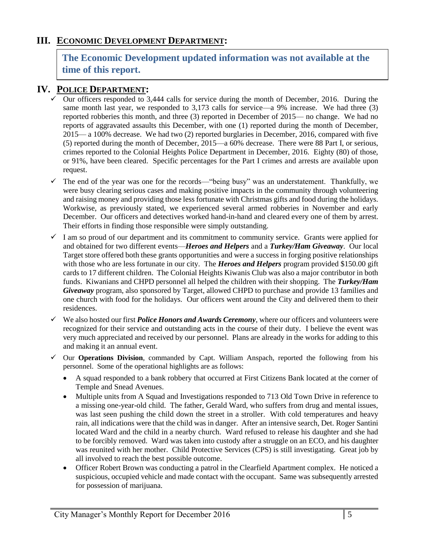## **III. ECONOMIC DEVELOPMENT DEPARTMENT:**

# **The Economic Development updated information was not available at the time of this report.**

## **IV. POLICE DEPARTMENT:**

- $\checkmark$  Our officers responded to 3,444 calls for service during the month of December, 2016. During the same month last year, we responded to 3,173 calls for service—a 9% increase. We had three (3) reported robberies this month, and three (3) reported in December of 2015— no change. We had no reports of aggravated assaults this December, with one (1) reported during the month of December, 2015— a 100% decrease. We had two (2) reported burglaries in December, 2016, compared with five (5) reported during the month of December, 2015—a 60% decrease. There were 88 Part I, or serious, crimes reported to the Colonial Heights Police Department in December, 2016. Eighty (80) of those, or 91%, have been cleared. Specific percentages for the Part I crimes and arrests are available upon request.
- $\checkmark$  The end of the year was one for the records—"being busy" was an understatement. Thankfully, we were busy clearing serious cases and making positive impacts in the community through volunteering and raising money and providing those less fortunate with Christmas gifts and food during the holidays. Workwise, as previously stated, we experienced several armed robberies in November and early December. Our officers and detectives worked hand-in-hand and cleared every one of them by arrest. Their efforts in finding those responsible were simply outstanding.
- $\checkmark$  I am so proud of our department and its commitment to community service. Grants were applied for and obtained for two different events—*Heroes and Helpers* and a *Turkey/Ham Giveaway*. Our local Target store offered both these grants opportunities and were a success in forging positive relationships with those who are less fortunate in our city. The *Heroes and Helpers* program provided \$150.00 gift cards to 17 different children. The Colonial Heights Kiwanis Club was also a major contributor in both funds. Kiwanians and CHPD personnel all helped the children with their shopping. The *Turkey/Ham Giveaway* program, also sponsored by Target, allowed CHPD to purchase and provide 13 families and one church with food for the holidays. Our officers went around the City and delivered them to their residences.
- $\checkmark$  We also hosted our first *Police Honors and Awards Ceremony*, where our officers and volunteers were recognized for their service and outstanding acts in the course of their duty. I believe the event was very much appreciated and received by our personnel. Plans are already in the works for adding to this and making it an annual event.
- Our **Operations Division**, commanded by Capt. William Anspach, reported the following from his personnel. Some of the operational highlights are as follows:
	- A squad responded to a bank robbery that occurred at First Citizens Bank located at the corner of Temple and Snead Avenues.
	- Multiple units from A Squad and Investigations responded to 713 Old Town Drive in reference to a missing one-year-old child. The father, Gerald Ward, who suffers from drug and mental issues, was last seen pushing the child down the street in a stroller. With cold temperatures and heavy rain, all indications were that the child was in danger. After an intensive search, Det. Roger Santini located Ward and the child in a nearby church. Ward refused to release his daughter and she had to be forcibly removed. Ward was taken into custody after a struggle on an ECO, and his daughter was reunited with her mother. Child Protective Services (CPS) is still investigating. Great job by all involved to reach the best possible outcome.
	- Officer Robert Brown was conducting a patrol in the Clearfield Apartment complex. He noticed a suspicious, occupied vehicle and made contact with the occupant. Same was subsequently arrested for possession of marijuana.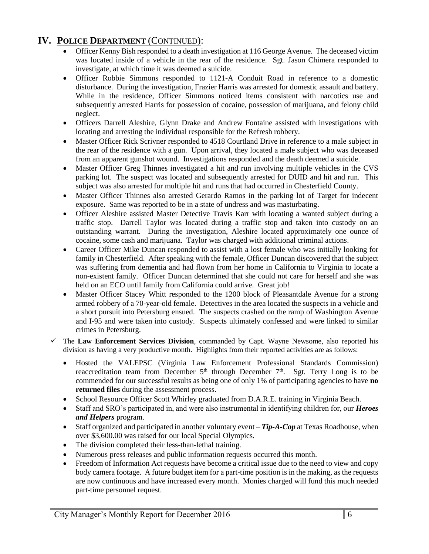# **IV. POLICE DEPARTMENT** (CONTINUED):

- Officer Kenny Bish responded to a death investigation at 116 George Avenue. The deceased victim was located inside of a vehicle in the rear of the residence. Sgt. Jason Chimera responded to investigate, at which time it was deemed a suicide.
- Officer Robbie Simmons responded to 1121-A Conduit Road in reference to a domestic disturbance. During the investigation, Frazier Harris was arrested for domestic assault and battery. While in the residence, Officer Simmons noticed items consistent with narcotics use and subsequently arrested Harris for possession of cocaine, possession of marijuana, and felony child neglect.
- Officers Darrell Aleshire, Glynn Drake and Andrew Fontaine assisted with investigations with locating and arresting the individual responsible for the Refresh robbery.
- Master Officer Rick Scrivner responded to 4518 Courtland Drive in reference to a male subject in the rear of the residence with a gun. Upon arrival, they located a male subject who was deceased from an apparent gunshot wound. Investigations responded and the death deemed a suicide.
- Master Officer Greg Thinnes investigated a hit and run involving multiple vehicles in the CVS parking lot. The suspect was located and subsequently arrested for DUID and hit and run. This subject was also arrested for multiple hit and runs that had occurred in Chesterfield County.
- Master Officer Thinnes also arrested Gerardo Ramos in the parking lot of Target for indecent exposure. Same was reported to be in a state of undress and was masturbating.
- Officer Aleshire assisted Master Detective Travis Karr with locating a wanted subject during a traffic stop. Darrell Taylor was located during a traffic stop and taken into custody on an outstanding warrant. During the investigation, Aleshire located approximately one ounce of cocaine, some cash and marijuana. Taylor was charged with additional criminal actions.
- Career Officer Mike Duncan responded to assist with a lost female who was initially looking for family in Chesterfield. After speaking with the female, Officer Duncan discovered that the subject was suffering from dementia and had flown from her home in California to Virginia to locate a non-existent family. Officer Duncan determined that she could not care for herself and she was held on an ECO until family from California could arrive. Great job!
- Master Officer Stacey Whitt responded to the 1200 block of Pleasantdale Avenue for a strong armed robbery of a 70-year-old female. Detectives in the area located the suspects in a vehicle and a short pursuit into Petersburg ensued. The suspects crashed on the ramp of Washington Avenue and I-95 and were taken into custody. Suspects ultimately confessed and were linked to similar crimes in Petersburg.
- The **Law Enforcement Services Division**, commanded by Capt. Wayne Newsome, also reported his division as having a very productive month. Highlights from their reported activities are as follows:
	- Hosted the VALEPSC (Virginia Law Enforcement Professional Standards Commission) reaccreditation team from December  $5<sup>th</sup>$  through December  $7<sup>th</sup>$ . Sgt. Terry Long is to be commended for our successful results as being one of only 1% of participating agencies to have **no returned files** during the assessment process.
	- School Resource Officer Scott Whirley graduated from D.A.R.E. training in Virginia Beach.
	- Staff and SRO's participated in, and were also instrumental in identifying children for, our *Heroes and Helpers* program.
	- Staff organized and participated in another voluntary event *Tip-A-Cop* at Texas Roadhouse, when over \$3,600.00 was raised for our local Special Olympics.
	- The division completed their less-than-lethal training.
	- Numerous press releases and public information requests occurred this month.
	- Freedom of Information Act requests have become a critical issue due to the need to view and copy body camera footage. A future budget item for a part-time position is in the making, as the requests are now continuous and have increased every month. Monies charged will fund this much needed part-time personnel request.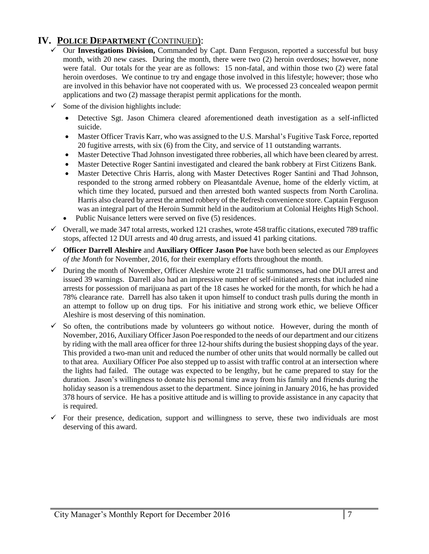# **IV. POLICE DEPARTMENT** (CONTINUED):

- Our **Investigations Division,** Commanded by Capt. Dann Ferguson, reported a successful but busy month, with 20 new cases. During the month, there were two (2) heroin overdoses; however, none were fatal. Our totals for the year are as follows: 15 non-fatal, and within those two (2) were fatal heroin overdoses. We continue to try and engage those involved in this lifestyle; however; those who are involved in this behavior have not cooperated with us. We processed 23 concealed weapon permit applications and two (2) massage therapist permit applications for the month.
- $\checkmark$  Some of the division highlights include:
	- Detective Sgt. Jason Chimera cleared aforementioned death investigation as a self-inflicted suicide.
	- Master Officer Travis Karr, who was assigned to the U.S. Marshal's Fugitive Task Force, reported 20 fugitive arrests, with six (6) from the City, and service of 11 outstanding warrants.
	- Master Detective Thad Johnson investigated three robberies, all which have been cleared by arrest.
	- Master Detective Roger Santini investigated and cleared the bank robbery at First Citizens Bank.
	- Master Detective Chris Harris, along with Master Detectives Roger Santini and Thad Johnson, responded to the strong armed robbery on Pleasantdale Avenue, home of the elderly victim, at which time they located, pursued and then arrested both wanted suspects from North Carolina. Harris also cleared by arrest the armed robbery of the Refresh convenience store. Captain Ferguson was an integral part of the Heroin Summit held in the auditorium at Colonial Heights High School.
	- Public Nuisance letters were served on five (5) residences.
- $\checkmark$  Overall, we made 347 total arrests, worked 121 crashes, wrote 458 traffic citations, executed 789 traffic stops, affected 12 DUI arrests and 40 drug arrests, and issued 41 parking citations.
- **Officer Darrell Aleshire** and **Auxiliary Officer Jason Poe** have both been selected as our *Employees of the Month* for November, 2016, for their exemplary efforts throughout the month.
- $\checkmark$  During the month of November, Officer Aleshire wrote 21 traffic summonses, had one DUI arrest and issued 39 warnings. Darrell also had an impressive number of self-initiated arrests that included nine arrests for possession of marijuana as part of the 18 cases he worked for the month, for which he had a 78% clearance rate. Darrell has also taken it upon himself to conduct trash pulls during the month in an attempt to follow up on drug tips. For his initiative and strong work ethic, we believe Officer Aleshire is most deserving of this nomination.
- $\checkmark$  So often, the contributions made by volunteers go without notice. However, during the month of November, 2016, Auxiliary Officer Jason Poe responded to the needs of our department and our citizens by riding with the mall area officer for three 12-hour shifts during the busiest shopping days of the year. This provided a two-man unit and reduced the number of other units that would normally be called out to that area. Auxiliary Officer Poe also stepped up to assist with traffic control at an intersection where the lights had failed. The outage was expected to be lengthy, but he came prepared to stay for the duration. Jason's willingness to donate his personal time away from his family and friends during the holiday season is a tremendous asset to the department. Since joining in January 2016, he has provided 378 hours of service. He has a positive attitude and is willing to provide assistance in any capacity that is required.
- $\checkmark$  For their presence, dedication, support and willingness to serve, these two individuals are most deserving of this award.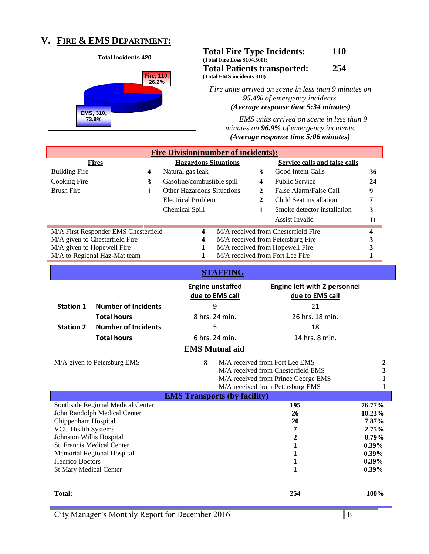# **V. FIRE & EMS DEPARTMENT:**



#### **Total Fire Type Incidents: 110 (Total Fire Loss \$104,500): Total Patients transported: 254 (Total EMS incidents 310)**

*Fire units arrived on scene in less than 9 minutes on 95.4% of emergency incidents. (Average response time 5:34 minutes)*

 *EMS units arrived on scene in less than 9 minutes on 96.9% of emergency incidents. (Average response time 5:06 minutes)*

| <b>Fire Division(number of incidents):</b>               |                                      |                                     |                                  |                         |                                      |                   |
|----------------------------------------------------------|--------------------------------------|-------------------------------------|----------------------------------|-------------------------|--------------------------------------|-------------------|
|                                                          | <b>Fires</b>                         | <b>Hazardous Situations</b>         |                                  |                         | <b>Service calls and false calls</b> |                   |
| <b>Building Fire</b>                                     | 4                                    | Natural gas leak                    |                                  | 3                       | Good Intent Calls                    | 36                |
| Cooking Fire                                             | 3                                    | Gasoline/combustible spill          |                                  | $\overline{\mathbf{4}}$ | <b>Public Service</b>                | 24                |
| <b>Brush Fire</b>                                        | $\mathbf{1}$                         | <b>Other Hazardous Situations</b>   |                                  | 2                       | False Alarm/False Call               | 9                 |
|                                                          |                                      | <b>Electrical Problem</b>           |                                  | $\mathbf{2}$            | Child Seat installation              | 7                 |
|                                                          |                                      | Chemical Spill                      |                                  | $\mathbf{1}$            | Smoke detector installation          | 3                 |
|                                                          |                                      |                                     |                                  |                         | <b>Assist Invalid</b>                | 11                |
|                                                          | M/A First Responder EMS Chesterfield | 4                                   |                                  |                         | M/A received from Chesterfield Fire  | 4                 |
|                                                          | M/A given to Chesterfield Fire       | $\overline{\mathbf{4}}$             |                                  |                         | M/A received from Petersburg Fire    | $\mathbf{3}$      |
| M/A given to Hopewell Fire                               |                                      | 1                                   |                                  |                         | M/A received from Hopewell Fire      | 3                 |
|                                                          | M/A to Regional Haz-Mat team         | $\mathbf{1}$                        |                                  |                         | M/A received from Fort Lee Fire      | $\mathbf{1}$      |
|                                                          |                                      |                                     | <b>STAFFING</b>                  |                         |                                      |                   |
|                                                          |                                      |                                     | <b>Engine unstaffed</b>          |                         | <b>Engine left with 2 personnel</b>  |                   |
|                                                          |                                      |                                     | due to EMS call                  |                         | due to EMS call                      |                   |
| <b>Station 1</b>                                         | <b>Number of Incidents</b>           |                                     | 9                                |                         | 21                                   |                   |
|                                                          | <b>Total hours</b>                   |                                     | 8 hrs. 24 min.                   |                         | 26 hrs. 18 min.                      |                   |
| <b>Station 2</b>                                         | <b>Number of Incidents</b>           |                                     | 5                                |                         | 18                                   |                   |
| <b>Total hours</b>                                       |                                      |                                     | 6 hrs. 24 min.<br>14 hrs. 8 min. |                         |                                      |                   |
|                                                          |                                      |                                     | <b>EMS Mutual aid</b>            |                         |                                      |                   |
|                                                          | M/A given to Petersburg EMS          | 8                                   |                                  |                         | M/A received from Fort Lee EMS       | 2                 |
|                                                          |                                      |                                     |                                  |                         | M/A received from Chesterfield EMS   | 3                 |
|                                                          |                                      |                                     |                                  |                         | M/A received from Prince George EMS  | $\mathbf{1}$      |
|                                                          |                                      |                                     |                                  |                         | M/A received from Petersburg EMS     | 1                 |
|                                                          |                                      | <b>EMS Transports (by facility)</b> |                                  |                         |                                      |                   |
|                                                          | Southside Regional Medical Center    |                                     |                                  |                         | 195                                  | 76.77%            |
|                                                          | John Randolph Medical Center         |                                     |                                  |                         | 26                                   | 10.23%            |
| Chippenham Hospital                                      |                                      |                                     |                                  |                         | 20                                   | 7.87%             |
| <b>VCU Health Systems</b>                                |                                      |                                     |                                  |                         | 7                                    | 2.75%             |
| Johnston Willis Hospital                                 |                                      |                                     |                                  |                         | $\overline{2}$<br>$\mathbf{1}$       | $0.79\%$<br>0.39% |
| St. Francis Medical Center<br>Memorial Regional Hospital |                                      |                                     |                                  |                         | $\mathbf{1}$                         | 0.39%             |
| Henrico Doctors                                          |                                      |                                     |                                  |                         | 1                                    | 0.39%             |
| <b>St Mary Medical Center</b>                            |                                      |                                     |                                  |                         | $\mathbf{1}$                         | 0.39%             |
|                                                          |                                      |                                     |                                  |                         |                                      |                   |
| <b>Total:</b>                                            |                                      |                                     |                                  |                         | 254                                  | 100%              |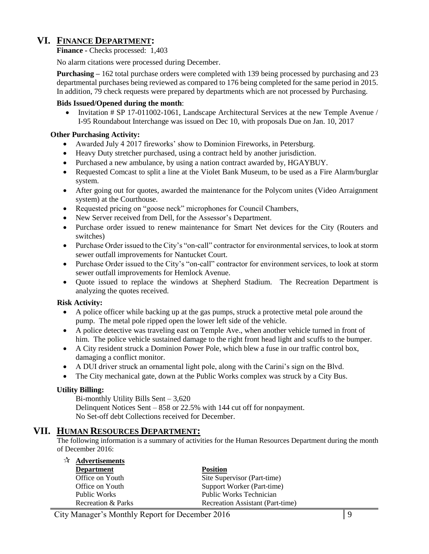## **VI. FINANCE DEPARTMENT:**

**Finance -** Checks processed: 1,403

No alarm citations were processed during December.

**Purchasing –** 162 total purchase orders were completed with 139 being processed by purchasing and 23 departmental purchases being reviewed as compared to 176 being completed for the same period in 2015. In addition, 79 check requests were prepared by departments which are not processed by Purchasing.

#### **Bids Issued/Opened during the month**:

Invitation # SP 17-011002-1061, Landscape Architectural Services at the new Temple Avenue / I-95 Roundabout Interchange was issued on Dec 10, with proposals Due on Jan. 10, 2017

#### **Other Purchasing Activity:**

- Awarded July 4 2017 fireworks' show to Dominion Fireworks, in Petersburg.
- Heavy Duty stretcher purchased, using a contract held by another jurisdiction.
- Purchased a new ambulance, by using a nation contract awarded by, HGAYBUY.
- Requested Comcast to split a line at the Violet Bank Museum, to be used as a Fire Alarm/burglar system.
- After going out for quotes, awarded the maintenance for the Polycom unites (Video Arraignment system) at the Courthouse.
- Requested pricing on "goose neck" microphones for Council Chambers,
- New Server received from Dell, for the Assessor's Department.
- Purchase order issued to renew maintenance for Smart Net devices for the City (Routers and switches)
- Purchase Order issued to the City's "on-call" contractor for environmental services, to look at storm sewer outfall improvements for Nantucket Court.
- Purchase Order issued to the City's "on-call" contractor for environment services, to look at storm sewer outfall improvements for Hemlock Avenue.
- Ouote issued to replace the windows at Shepherd Stadium. The Recreation Department is analyzing the quotes received.

#### **Risk Activity:**

- A police officer while backing up at the gas pumps, struck a protective metal pole around the pump. The metal pole ripped open the lower left side of the vehicle.
- A police detective was traveling east on Temple Ave., when another vehicle turned in front of him. The police vehicle sustained damage to the right front head light and scuffs to the bumper.
- A City resident struck a Dominion Power Pole, which blew a fuse in our traffic control box, damaging a conflict monitor.
- A DUI driver struck an ornamental light pole, along with the Carini's sign on the Blvd.
- The City mechanical gate, down at the Public Works complex was struck by a City Bus.

#### **Utility Billing:**

Bi-monthly Utility Bills Sent – 3,620 Delinquent Notices Sent – 858 or 22.5% with 144 cut off for nonpayment. No Set-off debt Collections received for December.

#### **VII. HUMAN RESOURCES DEPARTMENT:**

The following information is a summary of activities for the Human Resources Department during the month of December 2016:

| $\mathbf{\hat{x}}$ Advertisements |                                  |
|-----------------------------------|----------------------------------|
| <b>Department</b>                 | <b>Position</b>                  |
| Office on Youth                   | Site Supervisor (Part-time)      |
| Office on Youth                   | Support Worker (Part-time)       |
| Public Works                      | Public Works Technician          |
| Recreation & Parks                | Recreation Assistant (Part-time) |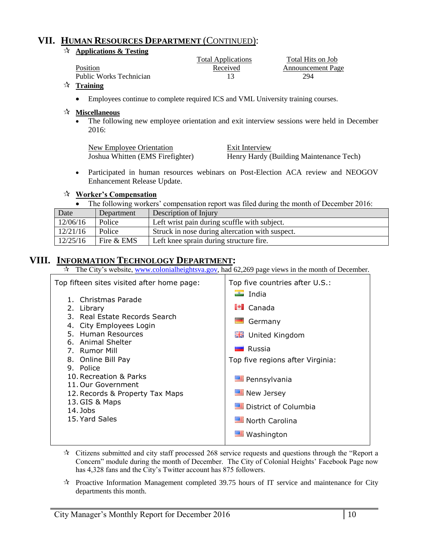## **VII. HUMAN RESOURCES DEPARTMENT** (CONTINUED):

#### **Applications & Testing**

|                         | <b>Total Applications</b> | Total Hits on Job        |
|-------------------------|---------------------------|--------------------------|
| Position                | Received                  | <b>Announcement Page</b> |
| Public Works Technician |                           | 294                      |

#### **Training**

Employees continue to complete required ICS and VML University training courses.

#### **Miscellaneous**

• The following new employee orientation and exit interview sessions were held in December 2016:

| New Employee Orientation         | Exit Interview                          |
|----------------------------------|-----------------------------------------|
| Joshua Whitten (EMS Firefighter) | Henry Hardy (Building Maintenance Tech) |

• Participated in human resources webinars on Post-Election ACA review and NEOGOV Enhancement Release Update.

#### **Worker's Compensation**

The following workers' compensation report was filed during the month of December 2016:

| Date     | Department | Description of Injury                           |
|----------|------------|-------------------------------------------------|
| 12/06/16 | Police     | Left wrist pain during scuffle with subject.    |
| 12/21/16 | Police     | Struck in nose during altercation with suspect. |
| 12/25/16 | Fire & EMS | Left knee sprain during structure fire.         |

## **VIII. INFORMATION TECHNOLOGY DEPARTMENT:**

 $\overrightarrow{x}$  The City's website, [www.colonialheightsva.gov,](http://www.colonialheightsva.gov/) had 62,269 page views in the month of December.

| Top fifteen sites visited after home page:                                                                                                                                                                                                                                                                                        | Top five countries after U.S.:                                                                                                                                                                                                             |
|-----------------------------------------------------------------------------------------------------------------------------------------------------------------------------------------------------------------------------------------------------------------------------------------------------------------------------------|--------------------------------------------------------------------------------------------------------------------------------------------------------------------------------------------------------------------------------------------|
| 1. Christmas Parade<br>2. Library<br>3. Real Estate Records Search<br>4. City Employees Login<br>5. Human Resources<br>6. Animal Shelter<br>7. Rumor Mill<br>8. Online Bill Pay<br>9. Police<br>10. Recreation & Parks<br>11. Our Government<br>12. Records & Property Tax Maps<br>13. GIS & Maps<br>$14.$ Jobs<br>15. Yard Sales | $\blacksquare$ India<br>$\mathbb{P}$ Canada<br>Germany<br><b>器 United Kingdom</b><br><b>La</b> Russia<br>Top five regions after Virginia:<br><b>E</b> Pennsylvania<br>New Jersey<br>District of Columbia<br>North Carolina<br>■ Washington |

- $\star$  Citizens submitted and city staff processed 268 service requests and questions through the "Report a Concern" module during the month of December. The City of Colonial Heights' Facebook Page now has 4,328 fans and the City's Twitter account has 875 followers.
- $\mathcal{R}$  Proactive Information Management completed 39.75 hours of IT service and maintenance for City departments this month.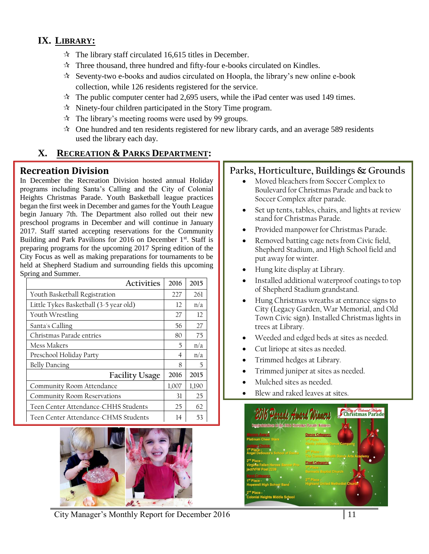# **IX. LIBRARY:**

- $\mathcal{R}$  The library staff circulated 16,615 titles in December.
- $\hat{x}$  Three thousand, three hundred and fifty-four e-books circulated on Kindles.
- $\hat{x}$  Seventy-two e-books and audios circulated on Hoopla, the library's new online e-book collection, while 126 residents registered for the service.
- $\mathcal{R}$  The public computer center had 2,695 users, while the iPad center was used 149 times.
- $\mathcal{R}$  Ninety-four children participated in the Story Time program.
- $\hat{x}$  The library's meeting rooms were used by 99 groups.
- $\approx$  One hundred and ten residents registered for new library cards, and an average 589 residents used the library each day.

# **X. RECREATION & PARKS DEPARTMENT:**

## **Recreation Division**

In December the Recreation Division hosted annual Holiday programs including Santa's Calling and the City of Colonial Heights Christmas Parade. Youth Basketball league practices began the first week in December and games for the Youth League begin January 7th. The Department also rolled out their new preschool programs in December and will continue in January 2017. Staff started accepting reservations for the Community Building and Park Pavilions for 2016 on December 1<sup>st</sup>. Staff is preparing programs for the upcoming 2017 Spring edition of the City Focus as well as making preparations for tournaments to be held at Shepherd Stadium and surrounding fields this upcoming Spring and Summer.

| <b>Activities</b>                      | 2016  | 2015  |
|----------------------------------------|-------|-------|
| Youth Basketball Registration          | 227   | 261   |
| Little Tykes Basketball (3-5 year old) | 12    | n/a   |
| Youth Wrestling                        | 27    | 12    |
| Santa's Calling                        | 56    | 27    |
| Christmas Parade entries               | 80    | 75    |
| Mess Makers                            | 5     | n/a   |
| Preschool Holiday Party                | 4     | n/a   |
| <b>Belly Dancing</b>                   | 8     | 5     |
| <b>Facility Usage</b>                  | 2016  | 2015  |
| Community Room Attendance              | 1,007 | 1,190 |
| Community Room Reservations            | 31    | 25    |
| Teen Center Attendance-CHHS Students   | 25    | 62    |
| Teen Center Attendance-CHMS Students   | 14    | 53    |



# **Parks, Horticulture, Buildings & Grounds**

- Moved bleachers from Soccer Complex to Boulevard for Christmas Parade and back to Soccer Complex after parade.
- Set up tents, tables, chairs, and lights at review stand for Christmas Parade.
- Provided manpower for Christmas Parade.
- Removed batting cage nets from Civic field, Shepherd Stadium, and High School field and put away for winter.
- Hung kite display at Library.
- Installed additional waterproof coatings to top of Shepherd Stadium grandstand.
- Hung Christmas wreaths at entrance signs to City (Legacy Garden, War Memorial, and Old Town Civic sign). Installed Christmas lights in trees at Library.
- Weeded and edged beds at sites as needed.
- Cut liriope at sites as needed.
- Trimmed hedges at Library.
- Trimmed juniper at sites as needed.
- Mulched sites as needed.
- Blew and raked leaves at sites.

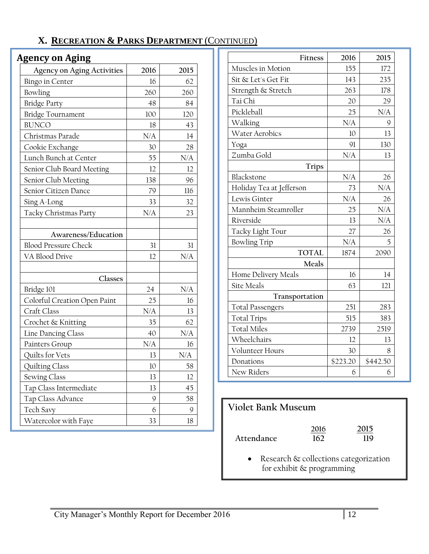# **X. RECREATION & PARKS DEPARTMENT** (CONTINUED)

# **Agency on Aging**

| <b>Agency on Aging Activities</b> | 2016 | 2015      |
|-----------------------------------|------|-----------|
| <b>Bingo in Center</b>            | 16   | 62        |
| Bowling                           | 260  | 260       |
| <b>Bridge Party</b>               | 48   | 84        |
| <b>Bridge Tournament</b>          | 100  | 120       |
| <b>BUNCO</b>                      | 18   | 43        |
| Christmas Parade                  | N/A  | 14        |
| Cookie Exchange                   | 30   | 28        |
| Lunch Bunch at Center             | 55   | N/A       |
| Senior Club Board Meeting         | 12   | 12        |
| Senior Club Meeting               | 138  | 96        |
| Senior Citizen Dance              | 79   | 116       |
| Sing A-Long                       | 33   | 32        |
| Tacky Christmas Party             | N/A  | 23        |
|                                   |      |           |
| Awareness/Education               |      |           |
| <b>Blood Pressure Check</b>       | 31   | 31        |
| VA Blood Drive                    | 12   | N/A       |
|                                   |      |           |
| Classes                           |      |           |
| Bridge 101                        | 24   | N/A       |
| Colorful Creation Open Paint      | 25   | 16        |
| Craft Class                       | N/A  | 13        |
| Crochet & Knitting                | 35   | 62        |
| Line Dancing Class                | 40   | N/A       |
| Painters Group                    | N/A  | 16        |
| Quilts for Vets                   | 13   | $\rm N/A$ |
| Quilting Class                    | 10   | 58        |
| Sewing Class                      | 13   | 12        |
| Tap Class Intermediate            | 13   | 45        |
| Tap Class Advance                 | 9    | 58        |
| Tech Savy                         | 6    | 9         |
| Watercolor with Faye              | 33   | 18        |

| Fitness                  | 2016            | 2015     |
|--------------------------|-----------------|----------|
| Muscles in Motion        | 155             | 172      |
| Sit & Let's Get Fit      | 143             | 235      |
| Strength & Stretch       | 263             | 178      |
| Tai Chi                  | 20              | 29       |
| Pickleball               | 25              | N/A      |
| Walking                  | N/A             | 9        |
| <b>Water Aerobics</b>    | 10 <sup>2</sup> | 13       |
| Yoga                     | 91              | 130      |
| Zumba Gold               | N/A             | 13       |
| <b>Trips</b>             |                 |          |
| Blackstone               | N/A             | 26       |
| Holiday Tea at Jefferson | 73              | N/A      |
| Lewis Ginter             | N/A             | 26       |
| Mannheim Steamroller     | 25              | N/A      |
| Riverside                | 13              | N/A      |
| Tacky Light Tour         | 27              | 26       |
| <b>Bowling Trip</b>      | N/A             | 5        |
| <b>TOTAL</b>             | 1874            | 2090     |
| Meals                    |                 |          |
| Home Delivery Meals      | 16              | 14       |
| <b>Site Meals</b>        | 63              | 121      |
| Transportation           |                 |          |
| <b>Total Passengers</b>  | 251             | 283      |
| <b>Total Trips</b>       | 515             | 383      |
| <b>Total Miles</b>       | 2739            | 2519     |
| Wheelchairs              | 12              | 13       |
| Volunteer Hours          | 30              | 8        |
| Donations                | \$223.20        | \$442.50 |
| New Riders               | 6               | 6        |

# **Violet Bank Museum**

|            | 2016 | 2015 |
|------------|------|------|
| Attendance | 162  | 119  |
|            |      |      |

• Research & collections categorization for exhibit & programming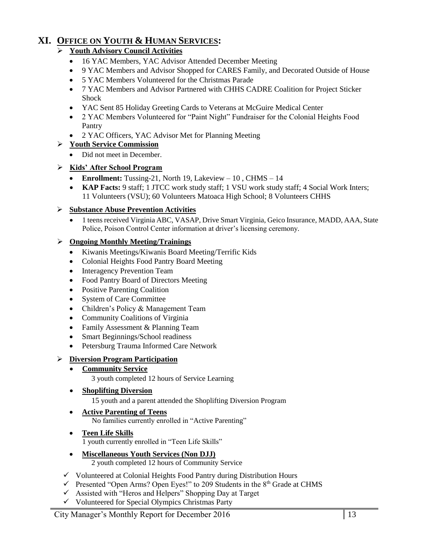# **XI. OFFICE ON YOUTH & HUMAN SERVICES:**

#### **Youth Advisory Council Activities**

- 16 YAC Members, YAC Advisor Attended December Meeting
- 9 YAC Members and Advisor Shopped for CARES Family, and Decorated Outside of House
- 5 YAC Members Volunteered for the Christmas Parade
- 7 YAC Members and Advisor Partnered with CHHS CADRE Coalition for Project Sticker Shock
- YAC Sent 85 Holiday Greeting Cards to Veterans at McGuire Medical Center
- 2 YAC Members Volunteered for "Paint Night" Fundraiser for the Colonial Heights Food Pantry
- 2 YAC Officers, YAC Advisor Met for Planning Meeting

#### **Youth Service Commission**

• Did not meet in December.

#### **Kids' After School Program**

- Enrollment: Tussing-21, North 19, Lakeview 10, CHMS 14
- KAP Facts: 9 staff; 1 JTCC work study staff; 1 VSU work study staff; 4 Social Work Inters; 11 Volunteers (VSU); 60 Volunteers Matoaca High School; 8 Volunteers CHHS

#### **Substance Abuse Prevention Activities**

 1 teens received Virginia ABC, VASAP, Drive Smart Virginia, Geico Insurance, MADD, AAA, State Police, Poison Control Center information at driver's licensing ceremony.

#### **Ongoing Monthly Meeting/Trainings**

- Kiwanis Meetings/Kiwanis Board Meeting/Terrific Kids
- Colonial Heights Food Pantry Board Meeting
- Interagency Prevention Team
- Food Pantry Board of Directors Meeting
- Positive Parenting Coalition
- System of Care Committee
- Children's Policy & Management Team
- Community Coalitions of Virginia
- Family Assessment & Planning Team
- Smart Beginnings/School readiness
- Petersburg Trauma Informed Care Network

#### **Diversion Program Participation**

**Community Service**

3 youth completed 12 hours of Service Learning

**Shoplifting Diversion**

15 youth and a parent attended the Shoplifting Diversion Program

#### **Active Parenting of Teens**

No families currently enrolled in "Active Parenting"

#### **Teen Life Skills**

1 youth currently enrolled in "Teen Life Skills"

- **Miscellaneous Youth Services (Non DJJ)** 2 youth completed 12 hours of Community Service
- $\checkmark$  Volunteered at Colonial Heights Food Pantry during Distribution Hours
- $\checkmark$  Presented "Open Arms? Open Eyes!" to 209 Students in the 8<sup>th</sup> Grade at CHMS
- $\checkmark$  Assisted with "Heros and Helpers" Shopping Day at Target
- $\checkmark$  Volunteered for Special Olympics Christmas Party